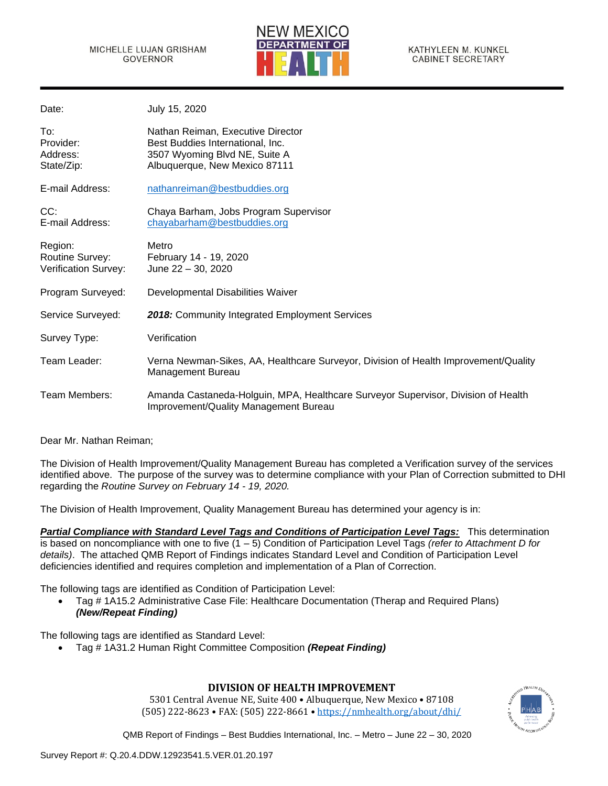

| Date:                                                     | July 15, 2020                                                                                                                           |
|-----------------------------------------------------------|-----------------------------------------------------------------------------------------------------------------------------------------|
| To:<br>Provider:<br>Address:<br>State/Zip:                | Nathan Reiman, Executive Director<br>Best Buddies International, Inc.<br>3507 Wyoming Blvd NE, Suite A<br>Albuquerque, New Mexico 87111 |
| E-mail Address:                                           | nathanreiman@bestbuddies.org                                                                                                            |
| CC:<br>E-mail Address:                                    | Chaya Barham, Jobs Program Supervisor<br>chayabarham@bestbuddies.org                                                                    |
| Region:<br>Routine Survey:<br><b>Verification Survey:</b> | Metro<br>February 14 - 19, 2020<br>June 22 - 30, 2020                                                                                   |
| Program Surveyed:                                         | Developmental Disabilities Waiver                                                                                                       |
| Service Surveyed:                                         | 2018: Community Integrated Employment Services                                                                                          |
| Survey Type:                                              | Verification                                                                                                                            |
| Team Leader:                                              | Verna Newman-Sikes, AA, Healthcare Surveyor, Division of Health Improvement/Quality<br>Management Bureau                                |
| Team Members:                                             | Amanda Castaneda-Holguin, MPA, Healthcare Surveyor Supervisor, Division of Health<br>Improvement/Quality Management Bureau              |
|                                                           |                                                                                                                                         |

Dear Mr. Nathan Reiman;

The Division of Health Improvement/Quality Management Bureau has completed a Verification survey of the services identified above. The purpose of the survey was to determine compliance with your Plan of Correction submitted to DHI regarding the *Routine Survey on February 14 - 19, 2020.*

The Division of Health Improvement, Quality Management Bureau has determined your agency is in:

*Partial Compliance with Standard Level Tags and Conditions of Participation Level Tags:* This determination is based on noncompliance with one to five (1 – 5) Condition of Participation Level Tags *(refer to Attachment D for details)*. The attached QMB Report of Findings indicates Standard Level and Condition of Participation Level deficiencies identified and requires completion and implementation of a Plan of Correction.

The following tags are identified as Condition of Participation Level:

• Tag # 1A15.2 Administrative Case File: Healthcare Documentation (Therap and Required Plans) *(New/Repeat Finding)*

The following tags are identified as Standard Level:

• Tag # 1A31.2 Human Right Committee Composition *(Repeat Finding)*

# **DIVISION OF HEALTH IMPROVEMENT**

5301 Central Avenue NE, Suite 400 • Albuquerque, New Mexico • 87108 (505) 222-8623 • FAX: (505) 222-8661 • <https://nmhealth.org/about/dhi/>

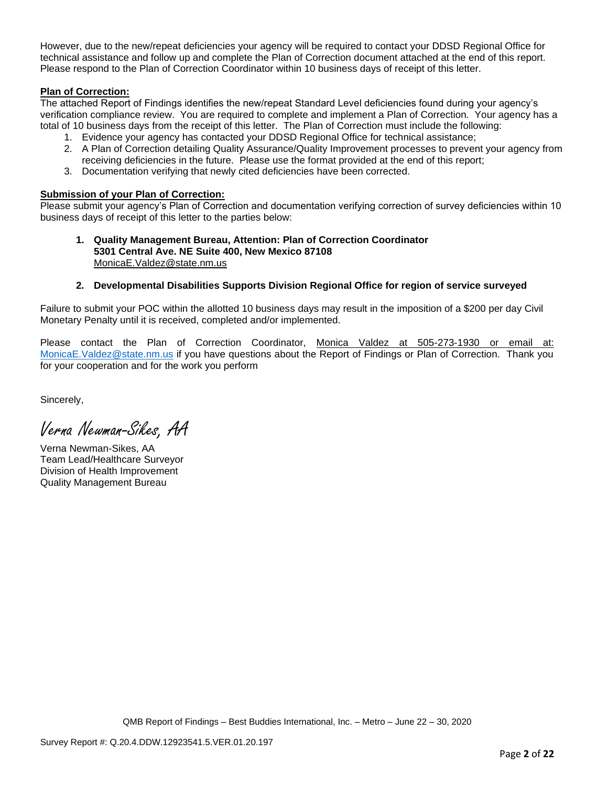However, due to the new/repeat deficiencies your agency will be required to contact your DDSD Regional Office for technical assistance and follow up and complete the Plan of Correction document attached at the end of this report. Please respond to the Plan of Correction Coordinator within 10 business days of receipt of this letter.

## **Plan of Correction:**

The attached Report of Findings identifies the new/repeat Standard Level deficiencies found during your agency's verification compliance review. You are required to complete and implement a Plan of Correction. Your agency has a total of 10 business days from the receipt of this letter. The Plan of Correction must include the following:

- 1. Evidence your agency has contacted your DDSD Regional Office for technical assistance;
- 2. A Plan of Correction detailing Quality Assurance/Quality Improvement processes to prevent your agency from receiving deficiencies in the future. Please use the format provided at the end of this report;
- 3. Documentation verifying that newly cited deficiencies have been corrected.

#### **Submission of your Plan of Correction:**

Please submit your agency's Plan of Correction and documentation verifying correction of survey deficiencies within 10 business days of receipt of this letter to the parties below:

#### **1. Quality Management Bureau, Attention: Plan of Correction Coordinator 5301 Central Ave. NE Suite 400, New Mexico 87108** [MonicaE.Valdez@state.nm.us](mailto:MonicaE.Valdez@state.nm.us)

#### **2. Developmental Disabilities Supports Division Regional Office for region of service surveyed**

Failure to submit your POC within the allotted 10 business days may result in the imposition of a \$200 per day Civil Monetary Penalty until it is received, completed and/or implemented.

Please contact the Plan of Correction Coordinator, Monica Valdez at 505-273-1930 or email at: MonicaE. Valdez@state.nm.us if you have questions about the Report of Findings or Plan of Correction. Thank you for your cooperation and for the work you perform

Sincerely,

Verna Newman-Sikes, AA

Verna Newman-Sikes, AA Team Lead/Healthcare Surveyor Division of Health Improvement Quality Management Bureau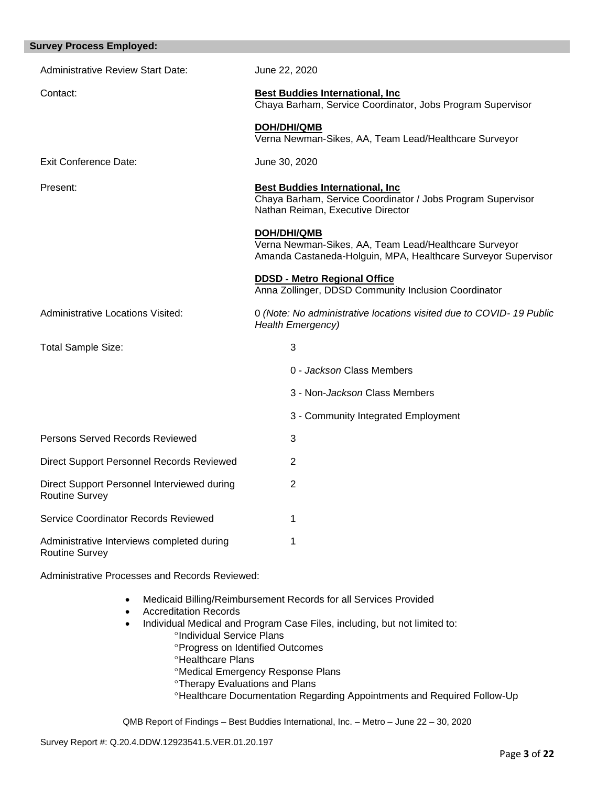| <b>Survey Process Employed:</b>                                      |                                                                                                                                              |
|----------------------------------------------------------------------|----------------------------------------------------------------------------------------------------------------------------------------------|
| <b>Administrative Review Start Date:</b>                             | June 22, 2020                                                                                                                                |
| Contact:                                                             | <b>Best Buddies International, Inc.</b><br>Chaya Barham, Service Coordinator, Jobs Program Supervisor                                        |
|                                                                      | <b>DOH/DHI/QMB</b><br>Verna Newman-Sikes, AA, Team Lead/Healthcare Surveyor                                                                  |
| <b>Exit Conference Date:</b>                                         | June 30, 2020                                                                                                                                |
| Present:                                                             | <b>Best Buddies International, Inc.</b><br>Chaya Barham, Service Coordinator / Jobs Program Supervisor<br>Nathan Reiman, Executive Director  |
|                                                                      | <b>DOH/DHI/QMB</b><br>Verna Newman-Sikes, AA, Team Lead/Healthcare Surveyor<br>Amanda Castaneda-Holguin, MPA, Healthcare Surveyor Supervisor |
|                                                                      | <b>DDSD - Metro Regional Office</b><br>Anna Zollinger, DDSD Community Inclusion Coordinator                                                  |
| Administrative Locations Visited:                                    | 0 (Note: No administrative locations visited due to COVID-19 Public<br><b>Health Emergency)</b>                                              |
| <b>Total Sample Size:</b>                                            | 3                                                                                                                                            |
|                                                                      | 0 - Jackson Class Members                                                                                                                    |
|                                                                      | 3 - Non-Jackson Class Members                                                                                                                |
|                                                                      | 3 - Community Integrated Employment                                                                                                          |
| Persons Served Records Reviewed                                      | 3                                                                                                                                            |
| Direct Support Personnel Records Reviewed                            | 2                                                                                                                                            |
| Direct Support Personnel Interviewed during<br><b>Routine Survey</b> | 2                                                                                                                                            |
| Service Coordinator Records Reviewed                                 | 1                                                                                                                                            |
| Administrative Interviews completed during<br><b>Routine Survey</b>  | 1                                                                                                                                            |
|                                                                      |                                                                                                                                              |

Administrative Processes and Records Reviewed:

- Medicaid Billing/Reimbursement Records for all Services Provided
- Accreditation Records
- Individual Medical and Program Case Files, including, but not limited to:
	- <sup>o</sup>Individual Service Plans
	- **Progress on Identified Outcomes**
	- **<sup>o</sup>Healthcare Plans**
	- Medical Emergency Response Plans
	- Therapy Evaluations and Plans
	- Healthcare Documentation Regarding Appointments and Required Follow-Up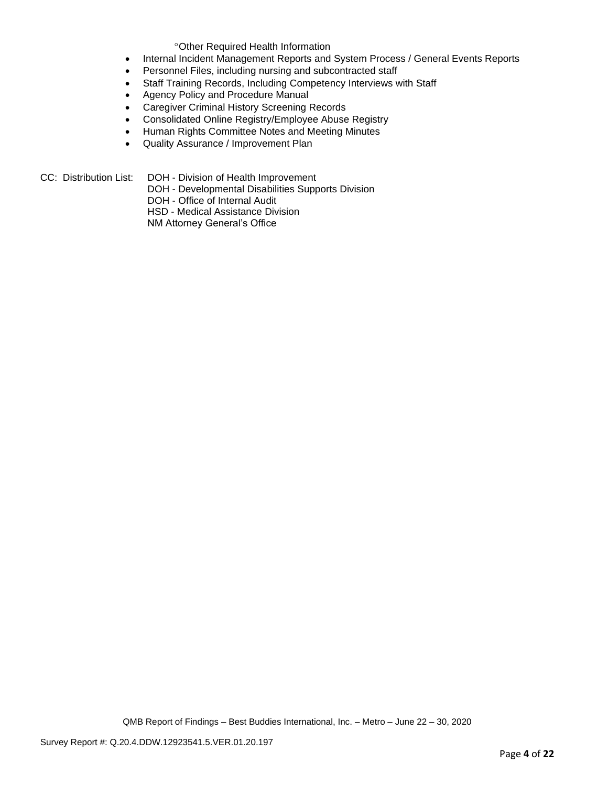Other Required Health Information

- Internal Incident Management Reports and System Process / General Events Reports
- Personnel Files, including nursing and subcontracted staff
- Staff Training Records, Including Competency Interviews with Staff
- Agency Policy and Procedure Manual
- Caregiver Criminal History Screening Records
- Consolidated Online Registry/Employee Abuse Registry
- Human Rights Committee Notes and Meeting Minutes
- Quality Assurance / Improvement Plan

- CC: Distribution List: DOH Division of Health Improvement
	- DOH Developmental Disabilities Supports Division
	- DOH Office of Internal Audit
	- HSD Medical Assistance Division

NM Attorney General's Office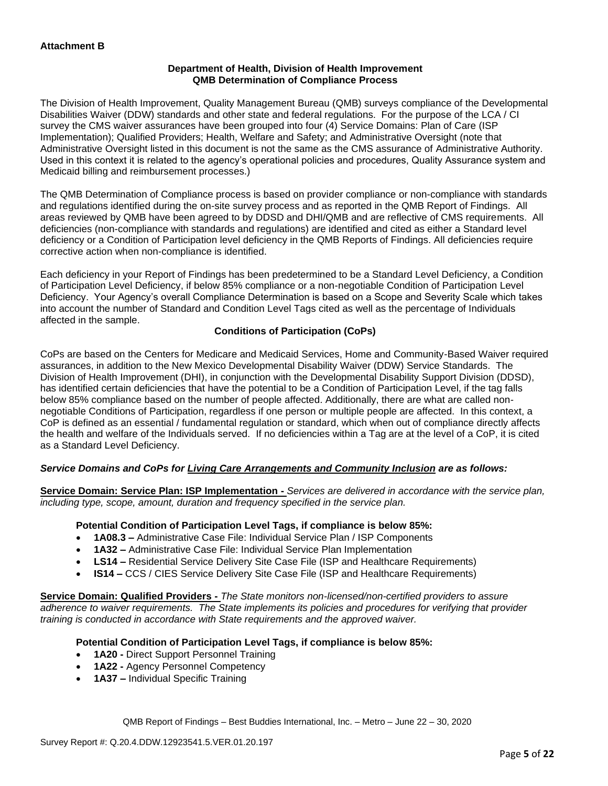## **Department of Health, Division of Health Improvement QMB Determination of Compliance Process**

The Division of Health Improvement, Quality Management Bureau (QMB) surveys compliance of the Developmental Disabilities Waiver (DDW) standards and other state and federal regulations. For the purpose of the LCA / CI survey the CMS waiver assurances have been grouped into four (4) Service Domains: Plan of Care (ISP Implementation); Qualified Providers; Health, Welfare and Safety; and Administrative Oversight (note that Administrative Oversight listed in this document is not the same as the CMS assurance of Administrative Authority. Used in this context it is related to the agency's operational policies and procedures, Quality Assurance system and Medicaid billing and reimbursement processes.)

The QMB Determination of Compliance process is based on provider compliance or non-compliance with standards and regulations identified during the on-site survey process and as reported in the QMB Report of Findings. All areas reviewed by QMB have been agreed to by DDSD and DHI/QMB and are reflective of CMS requirements. All deficiencies (non-compliance with standards and regulations) are identified and cited as either a Standard level deficiency or a Condition of Participation level deficiency in the QMB Reports of Findings. All deficiencies require corrective action when non-compliance is identified.

Each deficiency in your Report of Findings has been predetermined to be a Standard Level Deficiency, a Condition of Participation Level Deficiency, if below 85% compliance or a non-negotiable Condition of Participation Level Deficiency. Your Agency's overall Compliance Determination is based on a Scope and Severity Scale which takes into account the number of Standard and Condition Level Tags cited as well as the percentage of Individuals affected in the sample.

# **Conditions of Participation (CoPs)**

CoPs are based on the Centers for Medicare and Medicaid Services, Home and Community-Based Waiver required assurances, in addition to the New Mexico Developmental Disability Waiver (DDW) Service Standards. The Division of Health Improvement (DHI), in conjunction with the Developmental Disability Support Division (DDSD), has identified certain deficiencies that have the potential to be a Condition of Participation Level, if the tag falls below 85% compliance based on the number of people affected. Additionally, there are what are called nonnegotiable Conditions of Participation, regardless if one person or multiple people are affected. In this context, a CoP is defined as an essential / fundamental regulation or standard, which when out of compliance directly affects the health and welfare of the Individuals served. If no deficiencies within a Tag are at the level of a CoP, it is cited as a Standard Level Deficiency.

# *Service Domains and CoPs for Living Care Arrangements and Community Inclusion are as follows:*

**Service Domain: Service Plan: ISP Implementation -** *Services are delivered in accordance with the service plan, including type, scope, amount, duration and frequency specified in the service plan.*

#### **Potential Condition of Participation Level Tags, if compliance is below 85%:**

- **1A08.3 –** Administrative Case File: Individual Service Plan / ISP Components
- **1A32 –** Administrative Case File: Individual Service Plan Implementation
- **LS14 –** Residential Service Delivery Site Case File (ISP and Healthcare Requirements)
- **IS14 –** CCS / CIES Service Delivery Site Case File (ISP and Healthcare Requirements)

**Service Domain: Qualified Providers -** *The State monitors non-licensed/non-certified providers to assure adherence to waiver requirements. The State implements its policies and procedures for verifying that provider training is conducted in accordance with State requirements and the approved waiver.*

#### **Potential Condition of Participation Level Tags, if compliance is below 85%:**

- **1A20 -** Direct Support Personnel Training
- **1A22 -** Agency Personnel Competency
- **1A37 –** Individual Specific Training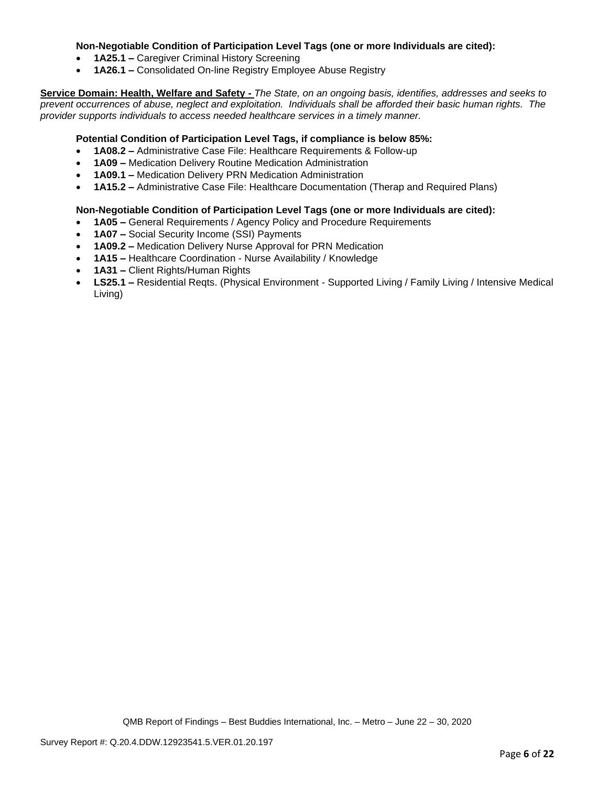## **Non-Negotiable Condition of Participation Level Tags (one or more Individuals are cited):**

- **1A25.1 –** Caregiver Criminal History Screening
- **1A26.1 –** Consolidated On-line Registry Employee Abuse Registry

**Service Domain: Health, Welfare and Safety -** *The State, on an ongoing basis, identifies, addresses and seeks to prevent occurrences of abuse, neglect and exploitation. Individuals shall be afforded their basic human rights. The provider supports individuals to access needed healthcare services in a timely manner.*

## **Potential Condition of Participation Level Tags, if compliance is below 85%:**

- **1A08.2 –** Administrative Case File: Healthcare Requirements & Follow-up
- **1A09 –** Medication Delivery Routine Medication Administration
- **1A09.1 –** Medication Delivery PRN Medication Administration
- **1A15.2 –** Administrative Case File: Healthcare Documentation (Therap and Required Plans)

## **Non-Negotiable Condition of Participation Level Tags (one or more Individuals are cited):**

- **1A05 –** General Requirements / Agency Policy and Procedure Requirements
- **1A07 –** Social Security Income (SSI) Payments
- **1A09.2 –** Medication Delivery Nurse Approval for PRN Medication
- **1A15 –** Healthcare Coordination Nurse Availability / Knowledge
- **1A31 –** Client Rights/Human Rights
- **LS25.1 –** Residential Reqts. (Physical Environment Supported Living / Family Living / Intensive Medical Living)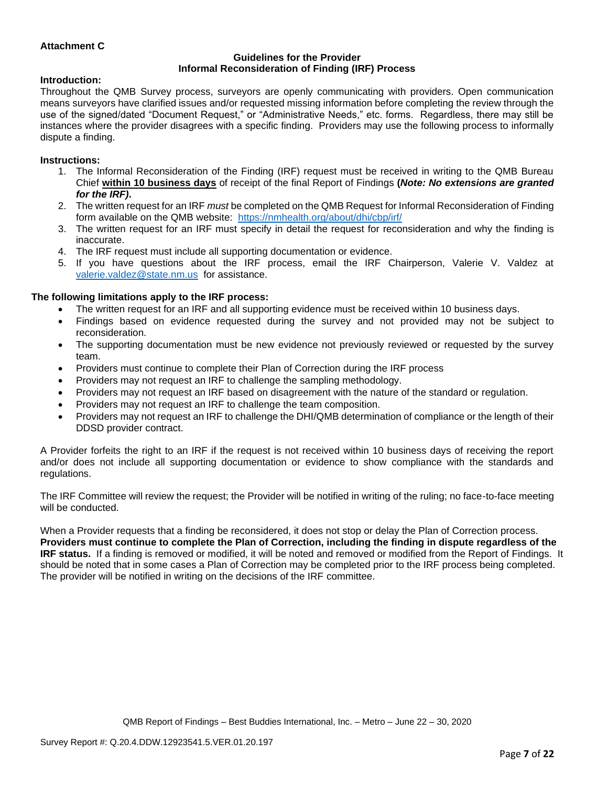## **Attachment C**

#### **Guidelines for the Provider Informal Reconsideration of Finding (IRF) Process**

#### **Introduction:**

Throughout the QMB Survey process, surveyors are openly communicating with providers. Open communication means surveyors have clarified issues and/or requested missing information before completing the review through the use of the signed/dated "Document Request," or "Administrative Needs," etc. forms. Regardless, there may still be instances where the provider disagrees with a specific finding. Providers may use the following process to informally dispute a finding.

#### **Instructions:**

- 1. The Informal Reconsideration of the Finding (IRF) request must be received in writing to the QMB Bureau Chief **within 10 business days** of receipt of the final Report of Findings **(***Note: No extensions are granted for the IRF)***.**
- 2. The written request for an IRF *must* be completed on the QMB Request for Informal Reconsideration of Finding form available on the QMB website: <https://nmhealth.org/about/dhi/cbp/irf/>
- 3. The written request for an IRF must specify in detail the request for reconsideration and why the finding is inaccurate.
- 4. The IRF request must include all supporting documentation or evidence.
- 5. If you have questions about the IRF process, email the IRF Chairperson, Valerie V. Valdez at [valerie.valdez@state.nm.us](mailto:valerie.valdez@state.nm.us) for assistance.

#### **The following limitations apply to the IRF process:**

- The written request for an IRF and all supporting evidence must be received within 10 business days.
- Findings based on evidence requested during the survey and not provided may not be subject to reconsideration.
- The supporting documentation must be new evidence not previously reviewed or requested by the survey team.
- Providers must continue to complete their Plan of Correction during the IRF process
- Providers may not request an IRF to challenge the sampling methodology.
- Providers may not request an IRF based on disagreement with the nature of the standard or regulation.
- Providers may not request an IRF to challenge the team composition.
- Providers may not request an IRF to challenge the DHI/QMB determination of compliance or the length of their DDSD provider contract.

A Provider forfeits the right to an IRF if the request is not received within 10 business days of receiving the report and/or does not include all supporting documentation or evidence to show compliance with the standards and regulations.

The IRF Committee will review the request; the Provider will be notified in writing of the ruling; no face-to-face meeting will be conducted.

When a Provider requests that a finding be reconsidered, it does not stop or delay the Plan of Correction process. **Providers must continue to complete the Plan of Correction, including the finding in dispute regardless of the IRF status.** If a finding is removed or modified, it will be noted and removed or modified from the Report of Findings. It should be noted that in some cases a Plan of Correction may be completed prior to the IRF process being completed. The provider will be notified in writing on the decisions of the IRF committee.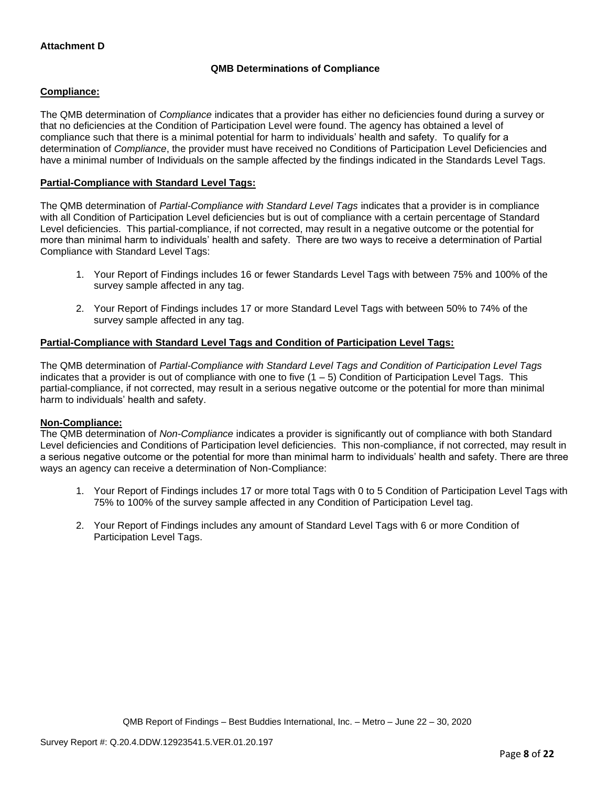# **QMB Determinations of Compliance**

## **Compliance:**

The QMB determination of *Compliance* indicates that a provider has either no deficiencies found during a survey or that no deficiencies at the Condition of Participation Level were found. The agency has obtained a level of compliance such that there is a minimal potential for harm to individuals' health and safety. To qualify for a determination of *Compliance*, the provider must have received no Conditions of Participation Level Deficiencies and have a minimal number of Individuals on the sample affected by the findings indicated in the Standards Level Tags.

## **Partial-Compliance with Standard Level Tags:**

The QMB determination of *Partial-Compliance with Standard Level Tags* indicates that a provider is in compliance with all Condition of Participation Level deficiencies but is out of compliance with a certain percentage of Standard Level deficiencies. This partial-compliance, if not corrected, may result in a negative outcome or the potential for more than minimal harm to individuals' health and safety. There are two ways to receive a determination of Partial Compliance with Standard Level Tags:

- 1. Your Report of Findings includes 16 or fewer Standards Level Tags with between 75% and 100% of the survey sample affected in any tag.
- 2. Your Report of Findings includes 17 or more Standard Level Tags with between 50% to 74% of the survey sample affected in any tag.

## **Partial-Compliance with Standard Level Tags and Condition of Participation Level Tags:**

The QMB determination of *Partial-Compliance with Standard Level Tags and Condition of Participation Level Tags*  indicates that a provider is out of compliance with one to five (1 – 5) Condition of Participation Level Tags. This partial-compliance, if not corrected, may result in a serious negative outcome or the potential for more than minimal harm to individuals' health and safety.

#### **Non-Compliance:**

The QMB determination of *Non-Compliance* indicates a provider is significantly out of compliance with both Standard Level deficiencies and Conditions of Participation level deficiencies. This non-compliance, if not corrected, may result in a serious negative outcome or the potential for more than minimal harm to individuals' health and safety. There are three ways an agency can receive a determination of Non-Compliance:

- 1. Your Report of Findings includes 17 or more total Tags with 0 to 5 Condition of Participation Level Tags with 75% to 100% of the survey sample affected in any Condition of Participation Level tag.
- 2. Your Report of Findings includes any amount of Standard Level Tags with 6 or more Condition of Participation Level Tags.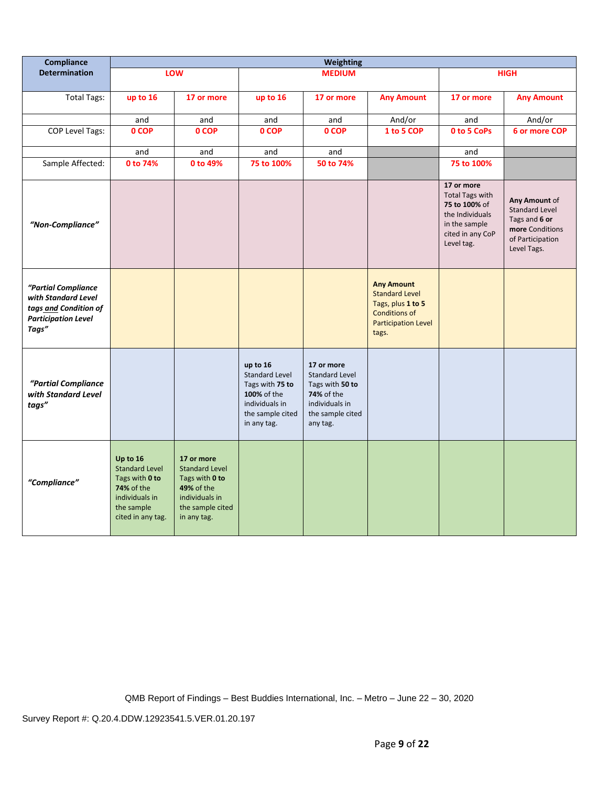| Compliance                                                                                                 | <b>Weighting</b>                                                                                                              |                                                                                                                                 |                                                                                                                          |                                                                                                                               |                                                                                                                                |                                                                                                                             |                                                                                                               |
|------------------------------------------------------------------------------------------------------------|-------------------------------------------------------------------------------------------------------------------------------|---------------------------------------------------------------------------------------------------------------------------------|--------------------------------------------------------------------------------------------------------------------------|-------------------------------------------------------------------------------------------------------------------------------|--------------------------------------------------------------------------------------------------------------------------------|-----------------------------------------------------------------------------------------------------------------------------|---------------------------------------------------------------------------------------------------------------|
| <b>Determination</b>                                                                                       |                                                                                                                               | LOW                                                                                                                             |                                                                                                                          | <b>MEDIUM</b>                                                                                                                 |                                                                                                                                |                                                                                                                             | <b>HIGH</b>                                                                                                   |
| <b>Total Tags:</b>                                                                                         | up to 16                                                                                                                      | 17 or more                                                                                                                      | up to 16                                                                                                                 | 17 or more                                                                                                                    | <b>Any Amount</b>                                                                                                              | 17 or more                                                                                                                  | <b>Any Amount</b>                                                                                             |
|                                                                                                            | and                                                                                                                           | and                                                                                                                             | and                                                                                                                      | and                                                                                                                           | And/or                                                                                                                         | and                                                                                                                         | And/or                                                                                                        |
| COP Level Tags:                                                                                            | 0 COP                                                                                                                         | 0 COP                                                                                                                           | 0 COP                                                                                                                    | 0 COP                                                                                                                         | 1 to 5 COP                                                                                                                     | 0 to 5 CoPs                                                                                                                 | 6 or more COP                                                                                                 |
|                                                                                                            | and                                                                                                                           | and                                                                                                                             | and                                                                                                                      | and                                                                                                                           |                                                                                                                                | and                                                                                                                         |                                                                                                               |
| Sample Affected:                                                                                           | 0 to 74%                                                                                                                      | 0 to 49%                                                                                                                        | 75 to 100%                                                                                                               | 50 to 74%                                                                                                                     |                                                                                                                                | 75 to 100%                                                                                                                  |                                                                                                               |
| "Non-Compliance"                                                                                           |                                                                                                                               |                                                                                                                                 |                                                                                                                          |                                                                                                                               |                                                                                                                                | 17 or more<br><b>Total Tags with</b><br>75 to 100% of<br>the Individuals<br>in the sample<br>cited in any CoP<br>Level tag. | Any Amount of<br><b>Standard Level</b><br>Tags and 6 or<br>more Conditions<br>of Participation<br>Level Tags. |
| "Partial Compliance<br>with Standard Level<br>tags and Condition of<br><b>Participation Level</b><br>Tags" |                                                                                                                               |                                                                                                                                 |                                                                                                                          |                                                                                                                               | <b>Any Amount</b><br><b>Standard Level</b><br>Tags, plus 1 to 5<br><b>Conditions of</b><br><b>Participation Level</b><br>tags. |                                                                                                                             |                                                                                                               |
| "Partial Compliance<br>with Standard Level<br>tags"                                                        |                                                                                                                               |                                                                                                                                 | up to 16<br><b>Standard Level</b><br>Tags with 75 to<br>100% of the<br>individuals in<br>the sample cited<br>in any tag. | 17 or more<br><b>Standard Level</b><br>Tags with 50 to<br><b>74%</b> of the<br>individuals in<br>the sample cited<br>any tag. |                                                                                                                                |                                                                                                                             |                                                                                                               |
| "Compliance"                                                                                               | Up to 16<br><b>Standard Level</b><br>Tags with 0 to<br><b>74% of the</b><br>individuals in<br>the sample<br>cited in any tag. | 17 or more<br><b>Standard Level</b><br>Tags with 0 to<br><b>49% of the</b><br>individuals in<br>the sample cited<br>in any tag. |                                                                                                                          |                                                                                                                               |                                                                                                                                |                                                                                                                             |                                                                                                               |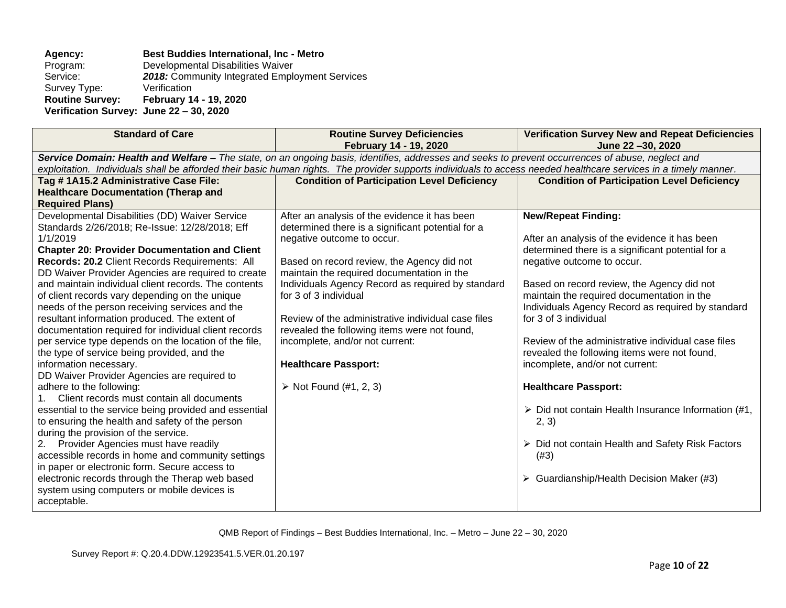# Agency: **Best Buddies International, Inc - Metro Program: Developmental Disabilities Waiver**

Program: Developmental Disabilities Waiver<br>Service: 2018: Community Integrated Emplo 2018: Community Integrated Employment Services<br>Verification Survey Type:<br>Routine Survey: **Routine Survey: February 14 - 19, 2020 Verification Survey: June 22 – 30, 2020**

| <b>Standard of Care</b>                                                                                                                           | <b>Routine Survey Deficiencies</b>                                                                                                                               | <b>Verification Survey New and Repeat Deficiencies</b>             |  |  |  |
|---------------------------------------------------------------------------------------------------------------------------------------------------|------------------------------------------------------------------------------------------------------------------------------------------------------------------|--------------------------------------------------------------------|--|--|--|
|                                                                                                                                                   | February 14 - 19, 2020                                                                                                                                           | June 22-30, 2020                                                   |  |  |  |
| Service Domain: Health and Welfare - The state, on an ongoing basis, identifies, addresses and seeks to prevent occurrences of abuse, neglect and |                                                                                                                                                                  |                                                                    |  |  |  |
|                                                                                                                                                   | exploitation. Individuals shall be afforded their basic human rights. The provider supports individuals to access needed healthcare services in a timely manner. |                                                                    |  |  |  |
| Tag #1A15.2 Administrative Case File:                                                                                                             | <b>Condition of Participation Level Deficiency</b>                                                                                                               | <b>Condition of Participation Level Deficiency</b>                 |  |  |  |
| <b>Healthcare Documentation (Therap and</b>                                                                                                       |                                                                                                                                                                  |                                                                    |  |  |  |
| <b>Required Plans)</b>                                                                                                                            |                                                                                                                                                                  |                                                                    |  |  |  |
| Developmental Disabilities (DD) Waiver Service                                                                                                    | After an analysis of the evidence it has been                                                                                                                    | <b>New/Repeat Finding:</b>                                         |  |  |  |
| Standards 2/26/2018; Re-Issue: 12/28/2018; Eff                                                                                                    | determined there is a significant potential for a                                                                                                                |                                                                    |  |  |  |
| 1/1/2019                                                                                                                                          | negative outcome to occur.                                                                                                                                       | After an analysis of the evidence it has been                      |  |  |  |
| <b>Chapter 20: Provider Documentation and Client</b>                                                                                              |                                                                                                                                                                  | determined there is a significant potential for a                  |  |  |  |
| Records: 20.2 Client Records Requirements: All                                                                                                    | Based on record review, the Agency did not                                                                                                                       | negative outcome to occur.                                         |  |  |  |
| DD Waiver Provider Agencies are required to create                                                                                                | maintain the required documentation in the                                                                                                                       |                                                                    |  |  |  |
| and maintain individual client records. The contents                                                                                              | Individuals Agency Record as required by standard                                                                                                                | Based on record review, the Agency did not                         |  |  |  |
| of client records vary depending on the unique                                                                                                    | for 3 of 3 individual                                                                                                                                            | maintain the required documentation in the                         |  |  |  |
| needs of the person receiving services and the                                                                                                    |                                                                                                                                                                  | Individuals Agency Record as required by standard                  |  |  |  |
| resultant information produced. The extent of                                                                                                     | Review of the administrative individual case files                                                                                                               | for 3 of 3 individual                                              |  |  |  |
| documentation required for individual client records                                                                                              | revealed the following items were not found,                                                                                                                     |                                                                    |  |  |  |
| per service type depends on the location of the file,                                                                                             | incomplete, and/or not current:                                                                                                                                  | Review of the administrative individual case files                 |  |  |  |
| the type of service being provided, and the                                                                                                       |                                                                                                                                                                  | revealed the following items were not found,                       |  |  |  |
| information necessary.                                                                                                                            | <b>Healthcare Passport:</b>                                                                                                                                      | incomplete, and/or not current:                                    |  |  |  |
| DD Waiver Provider Agencies are required to                                                                                                       |                                                                                                                                                                  |                                                                    |  |  |  |
| adhere to the following:                                                                                                                          | $\triangleright$ Not Found (#1, 2, 3)                                                                                                                            | <b>Healthcare Passport:</b>                                        |  |  |  |
| Client records must contain all documents                                                                                                         |                                                                                                                                                                  |                                                                    |  |  |  |
| essential to the service being provided and essential                                                                                             |                                                                                                                                                                  | $\triangleright$ Did not contain Health Insurance Information (#1, |  |  |  |
| to ensuring the health and safety of the person                                                                                                   |                                                                                                                                                                  | 2, 3)                                                              |  |  |  |
| during the provision of the service.                                                                                                              |                                                                                                                                                                  |                                                                    |  |  |  |
| Provider Agencies must have readily<br>2.                                                                                                         |                                                                                                                                                                  | $\triangleright$ Did not contain Health and Safety Risk Factors    |  |  |  |
| accessible records in home and community settings                                                                                                 |                                                                                                                                                                  | (#3)                                                               |  |  |  |
| in paper or electronic form. Secure access to                                                                                                     |                                                                                                                                                                  |                                                                    |  |  |  |
| electronic records through the Therap web based                                                                                                   |                                                                                                                                                                  | $\triangleright$ Guardianship/Health Decision Maker (#3)           |  |  |  |
| system using computers or mobile devices is                                                                                                       |                                                                                                                                                                  |                                                                    |  |  |  |
| acceptable.                                                                                                                                       |                                                                                                                                                                  |                                                                    |  |  |  |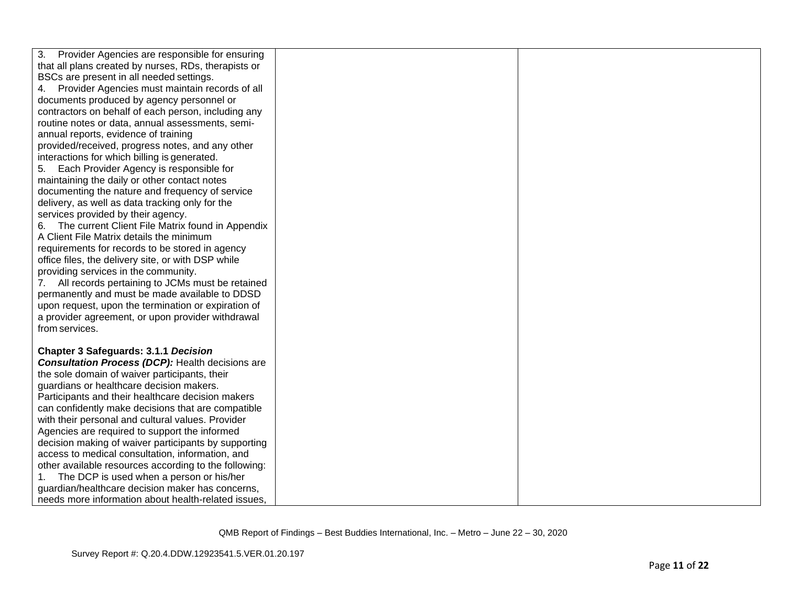| 3.<br>Provider Agencies are responsible for ensuring<br>that all plans created by nurses, RDs, therapists or<br>BSCs are present in all needed settings.<br>Provider Agencies must maintain records of all |
|------------------------------------------------------------------------------------------------------------------------------------------------------------------------------------------------------------|
|                                                                                                                                                                                                            |
|                                                                                                                                                                                                            |
| 4.                                                                                                                                                                                                         |
| documents produced by agency personnel or                                                                                                                                                                  |
| contractors on behalf of each person, including any                                                                                                                                                        |
| routine notes or data, annual assessments, semi-                                                                                                                                                           |
| annual reports, evidence of training                                                                                                                                                                       |
| provided/received, progress notes, and any other                                                                                                                                                           |
| interactions for which billing is generated.                                                                                                                                                               |
| Each Provider Agency is responsible for<br>5.                                                                                                                                                              |
| maintaining the daily or other contact notes                                                                                                                                                               |
| documenting the nature and frequency of service                                                                                                                                                            |
| delivery, as well as data tracking only for the                                                                                                                                                            |
| services provided by their agency.                                                                                                                                                                         |
| 6. The current Client File Matrix found in Appendix                                                                                                                                                        |
| A Client File Matrix details the minimum                                                                                                                                                                   |
| requirements for records to be stored in agency                                                                                                                                                            |
| office files, the delivery site, or with DSP while                                                                                                                                                         |
| providing services in the community.                                                                                                                                                                       |
| All records pertaining to JCMs must be retained<br>7.                                                                                                                                                      |
| permanently and must be made available to DDSD                                                                                                                                                             |
| upon request, upon the termination or expiration of                                                                                                                                                        |
| a provider agreement, or upon provider withdrawal                                                                                                                                                          |
| from services.                                                                                                                                                                                             |
|                                                                                                                                                                                                            |
| <b>Chapter 3 Safeguards: 3.1.1 Decision</b>                                                                                                                                                                |
| <b>Consultation Process (DCP):</b> Health decisions are                                                                                                                                                    |
| the sole domain of waiver participants, their                                                                                                                                                              |
| guardians or healthcare decision makers.<br>Participants and their healthcare decision makers                                                                                                              |
| can confidently make decisions that are compatible                                                                                                                                                         |
| with their personal and cultural values. Provider                                                                                                                                                          |
| Agencies are required to support the informed                                                                                                                                                              |
| decision making of waiver participants by supporting                                                                                                                                                       |
| access to medical consultation, information, and                                                                                                                                                           |
| other available resources according to the following:                                                                                                                                                      |
| The DCP is used when a person or his/her<br>$1_{1}$                                                                                                                                                        |
| guardian/healthcare decision maker has concerns,                                                                                                                                                           |
| needs more information about health-related issues.                                                                                                                                                        |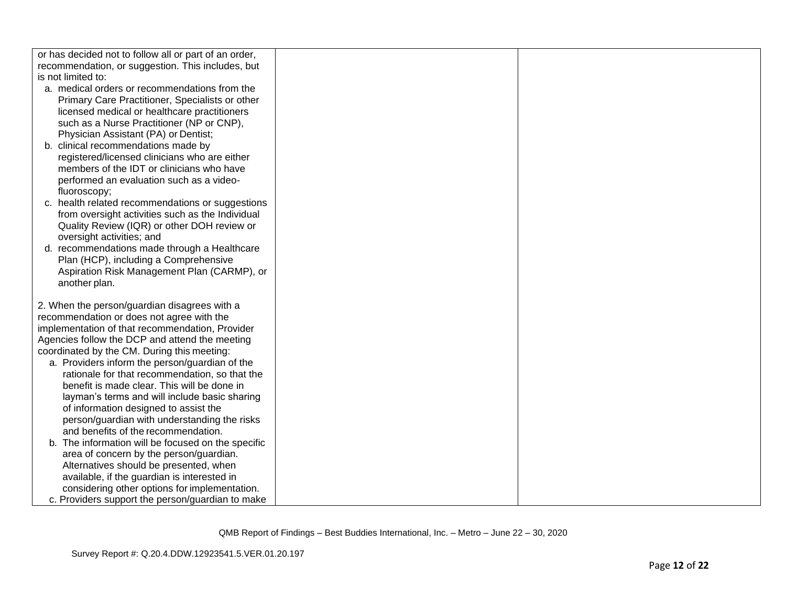| or has decided not to follow all or part of an order, |  |
|-------------------------------------------------------|--|
| recommendation, or suggestion. This includes, but     |  |
| is not limited to:                                    |  |
| a. medical orders or recommendations from the         |  |
| Primary Care Practitioner, Specialists or other       |  |
| licensed medical or healthcare practitioners          |  |
| such as a Nurse Practitioner (NP or CNP),             |  |
| Physician Assistant (PA) or Dentist;                  |  |
| b. clinical recommendations made by                   |  |
| registered/licensed clinicians who are either         |  |
| members of the IDT or clinicians who have             |  |
| performed an evaluation such as a video-              |  |
| fluoroscopy;                                          |  |
| c. health related recommendations or suggestions      |  |
| from oversight activities such as the Individual      |  |
| Quality Review (IQR) or other DOH review or           |  |
| oversight activities; and                             |  |
| d. recommendations made through a Healthcare          |  |
| Plan (HCP), including a Comprehensive                 |  |
| Aspiration Risk Management Plan (CARMP), or           |  |
| another plan.                                         |  |
|                                                       |  |
| 2. When the person/guardian disagrees with a          |  |
| recommendation or does not agree with the             |  |
| implementation of that recommendation, Provider       |  |
| Agencies follow the DCP and attend the meeting        |  |
| coordinated by the CM. During this meeting:           |  |
| a. Providers inform the person/guardian of the        |  |
| rationale for that recommendation, so that the        |  |
| benefit is made clear. This will be done in           |  |
| layman's terms and will include basic sharing         |  |
| of information designed to assist the                 |  |
| person/guardian with understanding the risks          |  |
| and benefits of the recommendation.                   |  |
| b. The information will be focused on the specific    |  |
| area of concern by the person/guardian.               |  |
| Alternatives should be presented, when                |  |
| available, if the guardian is interested in           |  |
| considering other options for implementation.         |  |
| c. Providers support the person/guardian to make      |  |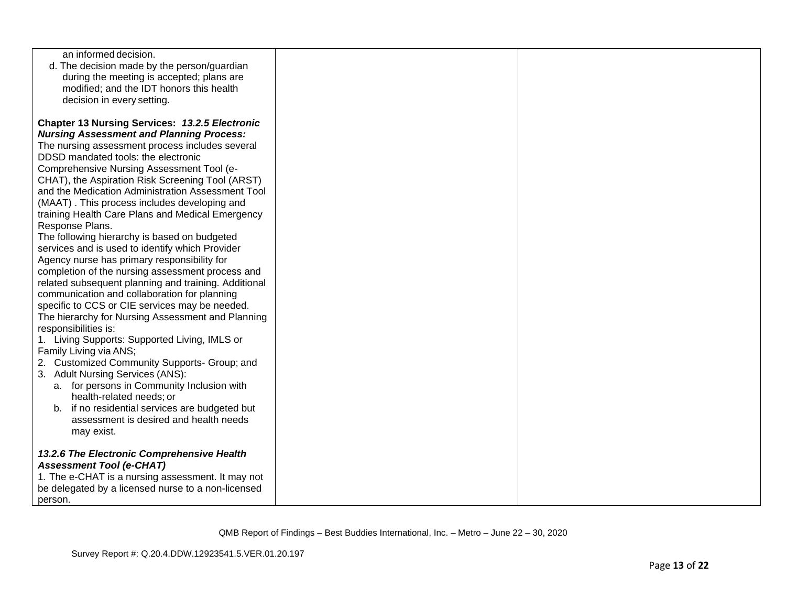| an informed decision.                                 |  |
|-------------------------------------------------------|--|
| d. The decision made by the person/guardian           |  |
| during the meeting is accepted; plans are             |  |
| modified; and the IDT honors this health              |  |
| decision in every setting.                            |  |
|                                                       |  |
| <b>Chapter 13 Nursing Services: 13.2.5 Electronic</b> |  |
| <b>Nursing Assessment and Planning Process:</b>       |  |
| The nursing assessment process includes several       |  |
| DDSD mandated tools: the electronic                   |  |
| Comprehensive Nursing Assessment Tool (e-             |  |
| CHAT), the Aspiration Risk Screening Tool (ARST)      |  |
| and the Medication Administration Assessment Tool     |  |
| (MAAT). This process includes developing and          |  |
| training Health Care Plans and Medical Emergency      |  |
| Response Plans.                                       |  |
| The following hierarchy is based on budgeted          |  |
| services and is used to identify which Provider       |  |
| Agency nurse has primary responsibility for           |  |
| completion of the nursing assessment process and      |  |
| related subsequent planning and training. Additional  |  |
| communication and collaboration for planning          |  |
| specific to CCS or CIE services may be needed.        |  |
| The hierarchy for Nursing Assessment and Planning     |  |
| responsibilities is:                                  |  |
| 1. Living Supports: Supported Living, IMLS or         |  |
| Family Living via ANS;                                |  |
| 2. Customized Community Supports- Group; and          |  |
| 3. Adult Nursing Services (ANS):                      |  |
| a. for persons in Community Inclusion with            |  |
| health-related needs; or                              |  |
| b. if no residential services are budgeted but        |  |
| assessment is desired and health needs                |  |
| may exist.                                            |  |
|                                                       |  |
| 13.2.6 The Electronic Comprehensive Health            |  |
| <b>Assessment Tool (e-CHAT)</b>                       |  |
| 1. The e-CHAT is a nursing assessment. It may not     |  |
| be delegated by a licensed nurse to a non-licensed    |  |
| person.                                               |  |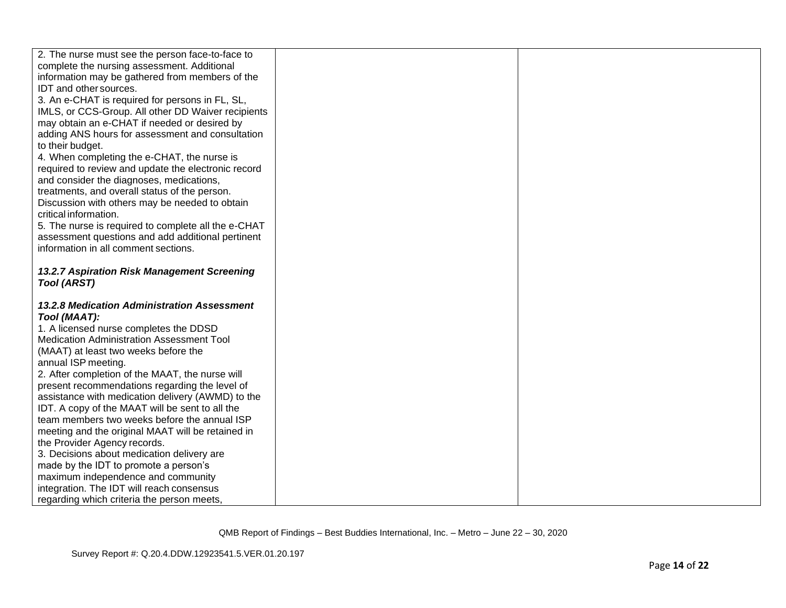| 2. The nurse must see the person face-to-face to<br>complete the nursing assessment. Additional<br>information may be gathered from members of the<br>IDT and other sources.<br>3. An e-CHAT is required for persons in FL, SL,<br>IMLS, or CCS-Group. All other DD Waiver recipients<br>may obtain an e-CHAT if needed or desired by<br>adding ANS hours for assessment and consultation<br>to their budget.<br>4. When completing the e-CHAT, the nurse is<br>required to review and update the electronic record<br>and consider the diagnoses, medications,<br>treatments, and overall status of the person.<br>Discussion with others may be needed to obtain<br>critical information.<br>5. The nurse is required to complete all the e-CHAT<br>assessment questions and add additional pertinent<br>information in all comment sections.<br>13.2.7 Aspiration Risk Management Screening<br><b>Tool (ARST)</b><br>13.2.8 Medication Administration Assessment<br>Tool (MAAT): |
|-------------------------------------------------------------------------------------------------------------------------------------------------------------------------------------------------------------------------------------------------------------------------------------------------------------------------------------------------------------------------------------------------------------------------------------------------------------------------------------------------------------------------------------------------------------------------------------------------------------------------------------------------------------------------------------------------------------------------------------------------------------------------------------------------------------------------------------------------------------------------------------------------------------------------------------------------------------------------------------|
|                                                                                                                                                                                                                                                                                                                                                                                                                                                                                                                                                                                                                                                                                                                                                                                                                                                                                                                                                                                     |
|                                                                                                                                                                                                                                                                                                                                                                                                                                                                                                                                                                                                                                                                                                                                                                                                                                                                                                                                                                                     |
|                                                                                                                                                                                                                                                                                                                                                                                                                                                                                                                                                                                                                                                                                                                                                                                                                                                                                                                                                                                     |
|                                                                                                                                                                                                                                                                                                                                                                                                                                                                                                                                                                                                                                                                                                                                                                                                                                                                                                                                                                                     |
|                                                                                                                                                                                                                                                                                                                                                                                                                                                                                                                                                                                                                                                                                                                                                                                                                                                                                                                                                                                     |
|                                                                                                                                                                                                                                                                                                                                                                                                                                                                                                                                                                                                                                                                                                                                                                                                                                                                                                                                                                                     |
|                                                                                                                                                                                                                                                                                                                                                                                                                                                                                                                                                                                                                                                                                                                                                                                                                                                                                                                                                                                     |
|                                                                                                                                                                                                                                                                                                                                                                                                                                                                                                                                                                                                                                                                                                                                                                                                                                                                                                                                                                                     |
|                                                                                                                                                                                                                                                                                                                                                                                                                                                                                                                                                                                                                                                                                                                                                                                                                                                                                                                                                                                     |
|                                                                                                                                                                                                                                                                                                                                                                                                                                                                                                                                                                                                                                                                                                                                                                                                                                                                                                                                                                                     |
|                                                                                                                                                                                                                                                                                                                                                                                                                                                                                                                                                                                                                                                                                                                                                                                                                                                                                                                                                                                     |
|                                                                                                                                                                                                                                                                                                                                                                                                                                                                                                                                                                                                                                                                                                                                                                                                                                                                                                                                                                                     |
|                                                                                                                                                                                                                                                                                                                                                                                                                                                                                                                                                                                                                                                                                                                                                                                                                                                                                                                                                                                     |
|                                                                                                                                                                                                                                                                                                                                                                                                                                                                                                                                                                                                                                                                                                                                                                                                                                                                                                                                                                                     |
|                                                                                                                                                                                                                                                                                                                                                                                                                                                                                                                                                                                                                                                                                                                                                                                                                                                                                                                                                                                     |
|                                                                                                                                                                                                                                                                                                                                                                                                                                                                                                                                                                                                                                                                                                                                                                                                                                                                                                                                                                                     |
|                                                                                                                                                                                                                                                                                                                                                                                                                                                                                                                                                                                                                                                                                                                                                                                                                                                                                                                                                                                     |
|                                                                                                                                                                                                                                                                                                                                                                                                                                                                                                                                                                                                                                                                                                                                                                                                                                                                                                                                                                                     |
|                                                                                                                                                                                                                                                                                                                                                                                                                                                                                                                                                                                                                                                                                                                                                                                                                                                                                                                                                                                     |
|                                                                                                                                                                                                                                                                                                                                                                                                                                                                                                                                                                                                                                                                                                                                                                                                                                                                                                                                                                                     |
|                                                                                                                                                                                                                                                                                                                                                                                                                                                                                                                                                                                                                                                                                                                                                                                                                                                                                                                                                                                     |
|                                                                                                                                                                                                                                                                                                                                                                                                                                                                                                                                                                                                                                                                                                                                                                                                                                                                                                                                                                                     |
|                                                                                                                                                                                                                                                                                                                                                                                                                                                                                                                                                                                                                                                                                                                                                                                                                                                                                                                                                                                     |
| 1. A licensed nurse completes the DDSD<br><b>Medication Administration Assessment Tool</b>                                                                                                                                                                                                                                                                                                                                                                                                                                                                                                                                                                                                                                                                                                                                                                                                                                                                                          |
|                                                                                                                                                                                                                                                                                                                                                                                                                                                                                                                                                                                                                                                                                                                                                                                                                                                                                                                                                                                     |
| (MAAT) at least two weeks before the                                                                                                                                                                                                                                                                                                                                                                                                                                                                                                                                                                                                                                                                                                                                                                                                                                                                                                                                                |
| annual ISP meeting.<br>2. After completion of the MAAT, the nurse will                                                                                                                                                                                                                                                                                                                                                                                                                                                                                                                                                                                                                                                                                                                                                                                                                                                                                                              |
| present recommendations regarding the level of                                                                                                                                                                                                                                                                                                                                                                                                                                                                                                                                                                                                                                                                                                                                                                                                                                                                                                                                      |
| assistance with medication delivery (AWMD) to the                                                                                                                                                                                                                                                                                                                                                                                                                                                                                                                                                                                                                                                                                                                                                                                                                                                                                                                                   |
| IDT. A copy of the MAAT will be sent to all the                                                                                                                                                                                                                                                                                                                                                                                                                                                                                                                                                                                                                                                                                                                                                                                                                                                                                                                                     |
| team members two weeks before the annual ISP                                                                                                                                                                                                                                                                                                                                                                                                                                                                                                                                                                                                                                                                                                                                                                                                                                                                                                                                        |
| meeting and the original MAAT will be retained in                                                                                                                                                                                                                                                                                                                                                                                                                                                                                                                                                                                                                                                                                                                                                                                                                                                                                                                                   |
| the Provider Agency records.                                                                                                                                                                                                                                                                                                                                                                                                                                                                                                                                                                                                                                                                                                                                                                                                                                                                                                                                                        |
| 3. Decisions about medication delivery are                                                                                                                                                                                                                                                                                                                                                                                                                                                                                                                                                                                                                                                                                                                                                                                                                                                                                                                                          |
| made by the IDT to promote a person's                                                                                                                                                                                                                                                                                                                                                                                                                                                                                                                                                                                                                                                                                                                                                                                                                                                                                                                                               |
| maximum independence and community                                                                                                                                                                                                                                                                                                                                                                                                                                                                                                                                                                                                                                                                                                                                                                                                                                                                                                                                                  |
| integration. The IDT will reach consensus                                                                                                                                                                                                                                                                                                                                                                                                                                                                                                                                                                                                                                                                                                                                                                                                                                                                                                                                           |
| regarding which criteria the person meets,                                                                                                                                                                                                                                                                                                                                                                                                                                                                                                                                                                                                                                                                                                                                                                                                                                                                                                                                          |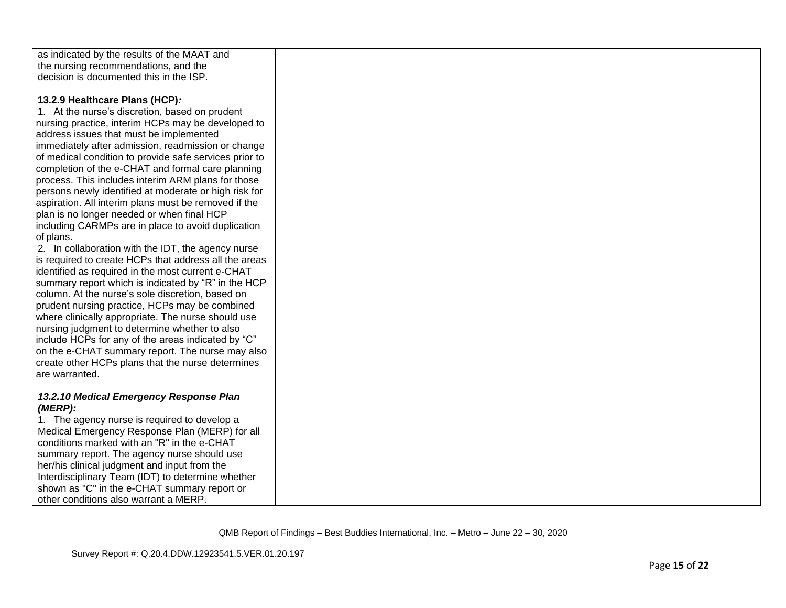| as indicated by the results of the MAAT and            |  |
|--------------------------------------------------------|--|
| the nursing recommendations, and the                   |  |
| decision is documented this in the ISP.                |  |
|                                                        |  |
| 13.2.9 Healthcare Plans (HCP):                         |  |
| 1. At the nurse's discretion, based on prudent         |  |
| nursing practice, interim HCPs may be developed to     |  |
| address issues that must be implemented                |  |
| immediately after admission, readmission or change     |  |
| of medical condition to provide safe services prior to |  |
| completion of the e-CHAT and formal care planning      |  |
| process. This includes interim ARM plans for those     |  |
| persons newly identified at moderate or high risk for  |  |
| aspiration. All interim plans must be removed if the   |  |
| plan is no longer needed or when final HCP             |  |
| including CARMPs are in place to avoid duplication     |  |
| of plans.                                              |  |
| 2. In collaboration with the IDT, the agency nurse     |  |
| is required to create HCPs that address all the areas  |  |
| identified as required in the most current e-CHAT      |  |
| summary report which is indicated by "R" in the HCP    |  |
| column. At the nurse's sole discretion, based on       |  |
| prudent nursing practice, HCPs may be combined         |  |
| where clinically appropriate. The nurse should use     |  |
| nursing judgment to determine whether to also          |  |
| include HCPs for any of the areas indicated by "C"     |  |
| on the e-CHAT summary report. The nurse may also       |  |
| create other HCPs plans that the nurse determines      |  |
| are warranted.                                         |  |
|                                                        |  |
| 13.2.10 Medical Emergency Response Plan                |  |
| (MERP):                                                |  |
| 1. The agency nurse is required to develop a           |  |
| Medical Emergency Response Plan (MERP) for all         |  |
| conditions marked with an "R" in the e-CHAT            |  |
| summary report. The agency nurse should use            |  |
| her/his clinical judgment and input from the           |  |
| Interdisciplinary Team (IDT) to determine whether      |  |
| shown as "C" in the e-CHAT summary report or           |  |
| other conditions also warrant a MERP.                  |  |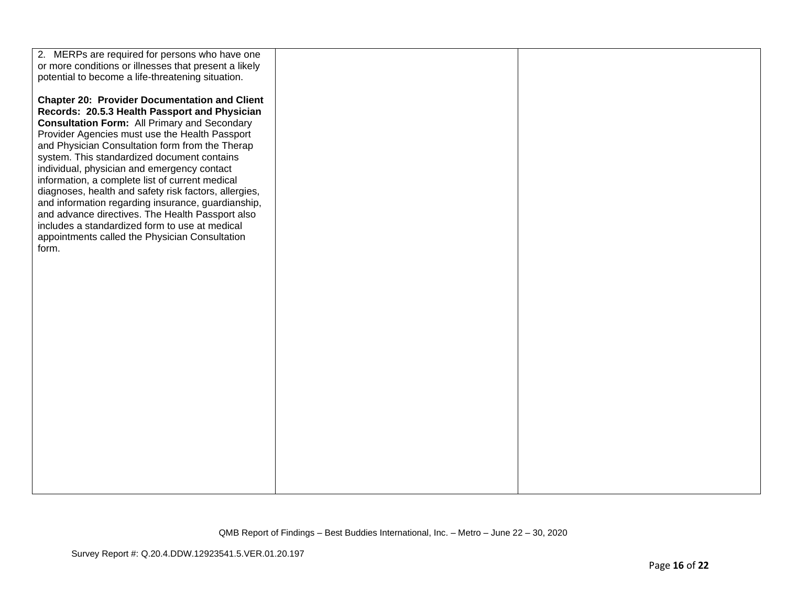| 2. MERPs are required for persons who have one        |  |
|-------------------------------------------------------|--|
| or more conditions or illnesses that present a likely |  |
| potential to become a life-threatening situation.     |  |
|                                                       |  |
| <b>Chapter 20: Provider Documentation and Client</b>  |  |
| Records: 20.5.3 Health Passport and Physician         |  |
| <b>Consultation Form: All Primary and Secondary</b>   |  |
| Provider Agencies must use the Health Passport        |  |
| and Physician Consultation form from the Therap       |  |
| system. This standardized document contains           |  |
| individual, physician and emergency contact           |  |
| information, a complete list of current medical       |  |
| diagnoses, health and safety risk factors, allergies, |  |
| and information regarding insurance, guardianship,    |  |
| and advance directives. The Health Passport also      |  |
| includes a standardized form to use at medical        |  |
| appointments called the Physician Consultation        |  |
| form.                                                 |  |
|                                                       |  |
|                                                       |  |
|                                                       |  |
|                                                       |  |
|                                                       |  |
|                                                       |  |
|                                                       |  |
|                                                       |  |
|                                                       |  |
|                                                       |  |
|                                                       |  |
|                                                       |  |
|                                                       |  |
|                                                       |  |
|                                                       |  |
|                                                       |  |
|                                                       |  |
|                                                       |  |
|                                                       |  |
|                                                       |  |
|                                                       |  |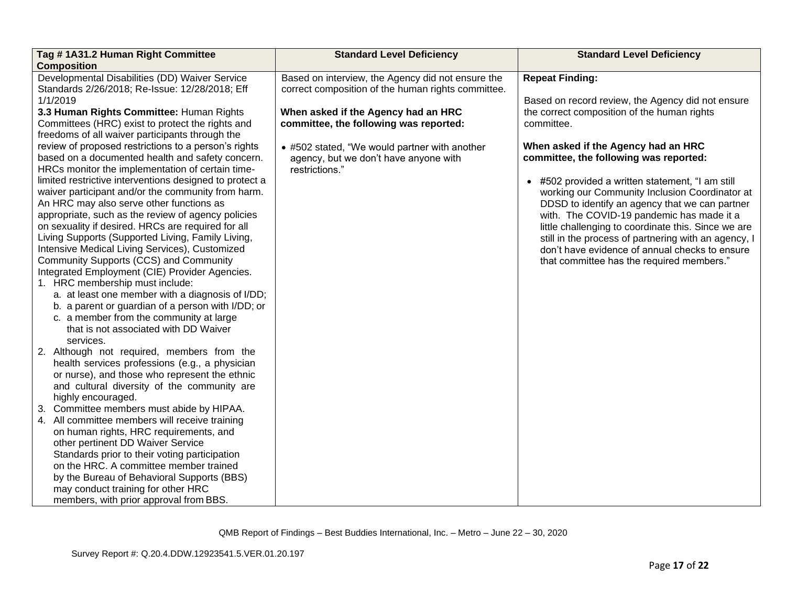| Tag #1A31.2 Human Right Committee                       | <b>Standard Level Deficiency</b>                   | <b>Standard Level Deficiency</b>                     |
|---------------------------------------------------------|----------------------------------------------------|------------------------------------------------------|
| <b>Composition</b>                                      |                                                    |                                                      |
| Developmental Disabilities (DD) Waiver Service          | Based on interview, the Agency did not ensure the  | <b>Repeat Finding:</b>                               |
| Standards 2/26/2018; Re-Issue: 12/28/2018; Eff          | correct composition of the human rights committee. |                                                      |
| 1/1/2019                                                |                                                    | Based on record review, the Agency did not ensure    |
| 3.3 Human Rights Committee: Human Rights                | When asked if the Agency had an HRC                | the correct composition of the human rights          |
| Committees (HRC) exist to protect the rights and        | committee, the following was reported:             | committee.                                           |
| freedoms of all waiver participants through the         |                                                    |                                                      |
| review of proposed restrictions to a person's rights    | • #502 stated, "We would partner with another      | When asked if the Agency had an HRC                  |
| based on a documented health and safety concern.        | agency, but we don't have anyone with              | committee, the following was reported:               |
| HRCs monitor the implementation of certain time-        | restrictions."                                     |                                                      |
| limited restrictive interventions designed to protect a |                                                    | • #502 provided a written statement, "I am still     |
| waiver participant and/or the community from harm.      |                                                    | working our Community Inclusion Coordinator at       |
| An HRC may also serve other functions as                |                                                    | DDSD to identify an agency that we can partner       |
| appropriate, such as the review of agency policies      |                                                    | with. The COVID-19 pandemic has made it a            |
| on sexuality if desired. HRCs are required for all      |                                                    | little challenging to coordinate this. Since we are  |
| Living Supports (Supported Living, Family Living,       |                                                    | still in the process of partnering with an agency, I |
| Intensive Medical Living Services), Customized          |                                                    | don't have evidence of annual checks to ensure       |
| Community Supports (CCS) and Community                  |                                                    | that committee has the required members."            |
| Integrated Employment (CIE) Provider Agencies.          |                                                    |                                                      |
| 1. HRC membership must include:                         |                                                    |                                                      |
| a. at least one member with a diagnosis of I/DD;        |                                                    |                                                      |
| b. a parent or guardian of a person with I/DD; or       |                                                    |                                                      |
| c. a member from the community at large                 |                                                    |                                                      |
| that is not associated with DD Waiver                   |                                                    |                                                      |
| services.                                               |                                                    |                                                      |
| 2. Although not required, members from the              |                                                    |                                                      |
| health services professions (e.g., a physician          |                                                    |                                                      |
| or nurse), and those who represent the ethnic           |                                                    |                                                      |
| and cultural diversity of the community are             |                                                    |                                                      |
| highly encouraged.                                      |                                                    |                                                      |
| Committee members must abide by HIPAA.<br>3.            |                                                    |                                                      |
| 4. All committee members will receive training          |                                                    |                                                      |
| on human rights, HRC requirements, and                  |                                                    |                                                      |
| other pertinent DD Waiver Service                       |                                                    |                                                      |
| Standards prior to their voting participation           |                                                    |                                                      |
| on the HRC. A committee member trained                  |                                                    |                                                      |
| by the Bureau of Behavioral Supports (BBS)              |                                                    |                                                      |
| may conduct training for other HRC                      |                                                    |                                                      |
| members, with prior approval from BBS.                  |                                                    |                                                      |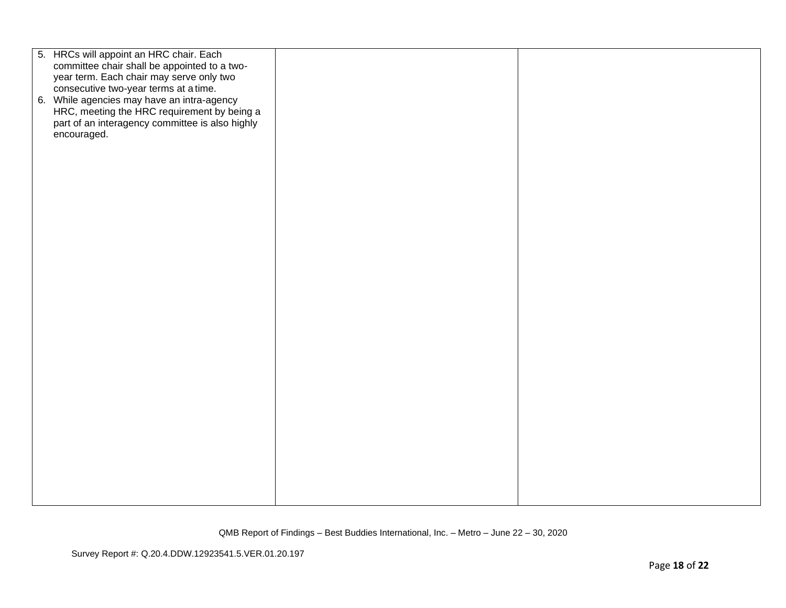| 5. HRCs will appoint an HRC chair. Each         |  |
|-------------------------------------------------|--|
| committee chair shall be appointed to a two-    |  |
| year term. Each chair may serve only two        |  |
| consecutive two-year terms at a time.           |  |
|                                                 |  |
| 6. While agencies may have an intra-agency      |  |
| HRC, meeting the HRC requirement by being a     |  |
| part of an interagency committee is also highly |  |
| encouraged.                                     |  |
|                                                 |  |
|                                                 |  |
|                                                 |  |
|                                                 |  |
|                                                 |  |
|                                                 |  |
|                                                 |  |
|                                                 |  |
|                                                 |  |
|                                                 |  |
|                                                 |  |
|                                                 |  |
|                                                 |  |
|                                                 |  |
|                                                 |  |
|                                                 |  |
|                                                 |  |
|                                                 |  |
|                                                 |  |
|                                                 |  |
|                                                 |  |
|                                                 |  |
|                                                 |  |
|                                                 |  |
|                                                 |  |
|                                                 |  |
|                                                 |  |
|                                                 |  |
|                                                 |  |
|                                                 |  |
|                                                 |  |
|                                                 |  |
|                                                 |  |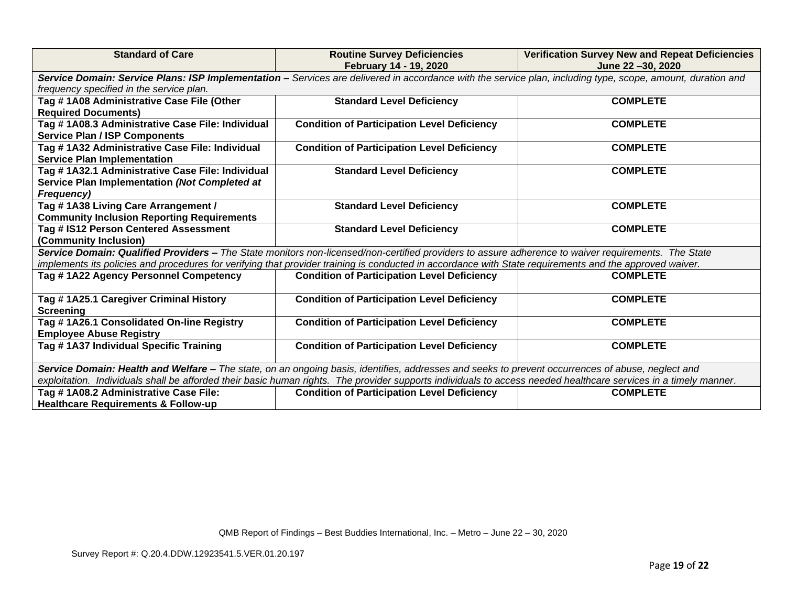| <b>Standard of Care</b>                                                                                                                                          | <b>Routine Survey Deficiencies</b><br>February 14 - 19, 2020 | <b>Verification Survey New and Repeat Deficiencies</b><br>June 22 -30, 2020 |  |  |
|------------------------------------------------------------------------------------------------------------------------------------------------------------------|--------------------------------------------------------------|-----------------------------------------------------------------------------|--|--|
| Service Domain: Service Plans: ISP Implementation - Services are delivered in accordance with the service plan, including type, scope, amount, duration and      |                                                              |                                                                             |  |  |
| frequency specified in the service plan.                                                                                                                         |                                                              |                                                                             |  |  |
| Tag #1A08 Administrative Case File (Other                                                                                                                        | <b>Standard Level Deficiency</b>                             | <b>COMPLETE</b>                                                             |  |  |
| <b>Required Documents)</b>                                                                                                                                       |                                                              |                                                                             |  |  |
| Tag #1A08.3 Administrative Case File: Individual                                                                                                                 | <b>Condition of Participation Level Deficiency</b>           | <b>COMPLETE</b>                                                             |  |  |
| <b>Service Plan / ISP Components</b>                                                                                                                             |                                                              |                                                                             |  |  |
| Tag # 1A32 Administrative Case File: Individual                                                                                                                  | <b>Condition of Participation Level Deficiency</b>           | <b>COMPLETE</b>                                                             |  |  |
| <b>Service Plan Implementation</b>                                                                                                                               |                                                              |                                                                             |  |  |
| Tag #1A32.1 Administrative Case File: Individual                                                                                                                 | <b>Standard Level Deficiency</b>                             | <b>COMPLETE</b>                                                             |  |  |
| Service Plan Implementation (Not Completed at                                                                                                                    |                                                              |                                                                             |  |  |
| <b>Frequency)</b>                                                                                                                                                |                                                              |                                                                             |  |  |
| Tag #1A38 Living Care Arrangement /                                                                                                                              | <b>Standard Level Deficiency</b>                             | <b>COMPLETE</b>                                                             |  |  |
| <b>Community Inclusion Reporting Requirements</b>                                                                                                                |                                                              |                                                                             |  |  |
| Tag # IS12 Person Centered Assessment                                                                                                                            | <b>Standard Level Deficiency</b>                             | <b>COMPLETE</b>                                                             |  |  |
| (Community Inclusion)                                                                                                                                            |                                                              |                                                                             |  |  |
| Service Domain: Qualified Providers - The State monitors non-licensed/non-certified providers to assure adherence to waiver requirements. The State              |                                                              |                                                                             |  |  |
| implements its policies and procedures for verifying that provider training is conducted in accordance with State requirements and the approved waiver.          |                                                              |                                                                             |  |  |
| Tag #1A22 Agency Personnel Competency                                                                                                                            | <b>Condition of Participation Level Deficiency</b>           | <b>COMPLETE</b>                                                             |  |  |
|                                                                                                                                                                  |                                                              |                                                                             |  |  |
| Tag #1A25.1 Caregiver Criminal History                                                                                                                           | <b>Condition of Participation Level Deficiency</b>           | <b>COMPLETE</b>                                                             |  |  |
| <b>Screening</b>                                                                                                                                                 |                                                              |                                                                             |  |  |
| Tag #1A26.1 Consolidated On-line Registry                                                                                                                        | <b>Condition of Participation Level Deficiency</b>           | <b>COMPLETE</b>                                                             |  |  |
| <b>Employee Abuse Registry</b>                                                                                                                                   |                                                              |                                                                             |  |  |
| Tag #1A37 Individual Specific Training                                                                                                                           | <b>Condition of Participation Level Deficiency</b>           | <b>COMPLETE</b>                                                             |  |  |
|                                                                                                                                                                  |                                                              |                                                                             |  |  |
| Service Domain: Health and Welfare - The state, on an ongoing basis, identifies, addresses and seeks to prevent occurrences of abuse, neglect and                |                                                              |                                                                             |  |  |
| exploitation. Individuals shall be afforded their basic human rights. The provider supports individuals to access needed healthcare services in a timely manner. |                                                              |                                                                             |  |  |
| Tag #1A08.2 Administrative Case File:                                                                                                                            | <b>Condition of Participation Level Deficiency</b>           | <b>COMPLETE</b>                                                             |  |  |
| <b>Healthcare Requirements &amp; Follow-up</b>                                                                                                                   |                                                              |                                                                             |  |  |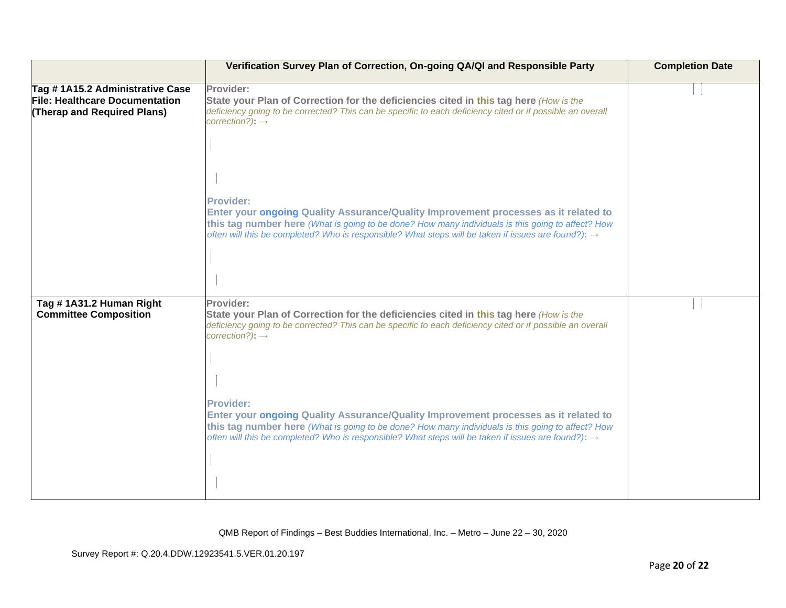|                                                                                                  | Verification Survey Plan of Correction, On-going QA/QI and Responsible Party                                                                                                                                                                                                                                                    | <b>Completion Date</b> |
|--------------------------------------------------------------------------------------------------|---------------------------------------------------------------------------------------------------------------------------------------------------------------------------------------------------------------------------------------------------------------------------------------------------------------------------------|------------------------|
| Tag #1A15.2 Administrative Case<br>File: Healthcare Documentation<br>(Therap and Required Plans) | Provider:<br>State your Plan of Correction for the deficiencies cited in this tag here (How is the<br>deficiency going to be corrected? This can be specific to each deficiency cited or if possible an overall<br>$correction$ ?): $\rightarrow$                                                                               |                        |
|                                                                                                  | <b>Provider:</b><br>Enter your ongoing Quality Assurance/Quality Improvement processes as it related to<br>this tag number here (What is going to be done? How many individuals is this going to affect? How<br>often will this be completed? Who is responsible? What steps will be taken if issues are found?): $\rightarrow$ |                        |
|                                                                                                  |                                                                                                                                                                                                                                                                                                                                 |                        |
| Tag #1A31.2 Human Right<br><b>Committee Composition</b>                                          | Provider:<br>State your Plan of Correction for the deficiencies cited in this tag here (How is the<br>deficiency going to be corrected? This can be specific to each deficiency cited or if possible an overall<br>$correction$ ?): $\rightarrow$                                                                               |                        |
|                                                                                                  | <b>Provider:</b><br>Enter your ongoing Quality Assurance/Quality Improvement processes as it related to<br>this tag number here (What is going to be done? How many individuals is this going to affect? How<br>often will this be completed? Who is responsible? What steps will be taken if issues are found?): $\rightarrow$ |                        |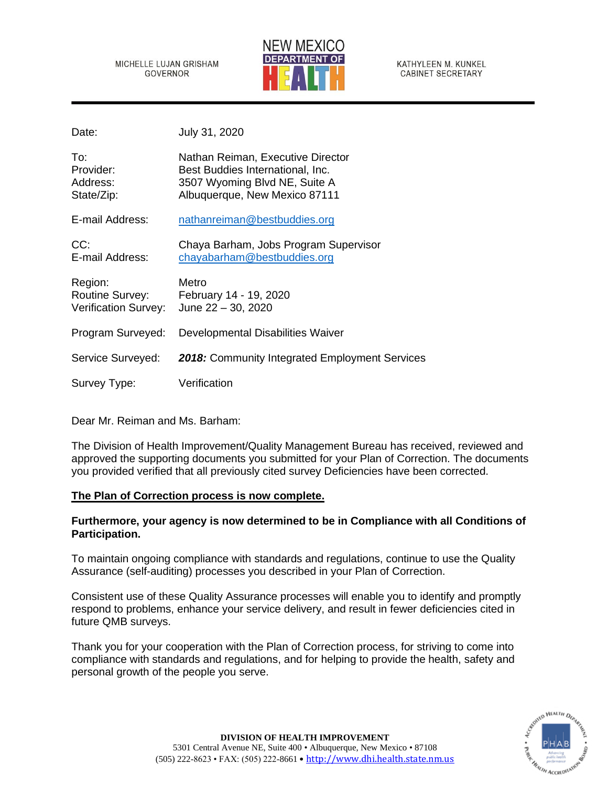MICHELLE LUJAN GRISHAM **GOVERNOR** 



KATHYLEEN M. KUNKEL **CABINET SECRETARY** 

Date: July 31, 2020

| To:<br>Provider:<br>Address:<br>State/Zip:                       | Nathan Reiman, Executive Director<br>Best Buddies International, Inc.<br>3507 Wyoming Blvd NE, Suite A<br>Albuquerque, New Mexico 87111 |
|------------------------------------------------------------------|-----------------------------------------------------------------------------------------------------------------------------------------|
| E-mail Address:                                                  | nathanreiman@bestbuddies.org                                                                                                            |
| CC:<br>E-mail Address:                                           | Chaya Barham, Jobs Program Supervisor<br>chayabarham@bestbuddies.org                                                                    |
| Region:<br><b>Routine Survey:</b><br><b>Verification Survey:</b> | Metro<br>February 14 - 19, 2020<br>June $22 - 30$ , 2020                                                                                |
| Program Surveyed:                                                | Developmental Disabilities Waiver                                                                                                       |
| Service Surveyed:                                                | 2018: Community Integrated Employment Services                                                                                          |
| Survey Type:                                                     | Verification                                                                                                                            |

Dear Mr. Reiman and Ms. Barham:

The Division of Health Improvement/Quality Management Bureau has received, reviewed and approved the supporting documents you submitted for your Plan of Correction. The documents you provided verified that all previously cited survey Deficiencies have been corrected.

# **The Plan of Correction process is now complete.**

# **Furthermore, your agency is now determined to be in Compliance with all Conditions of Participation.**

To maintain ongoing compliance with standards and regulations, continue to use the Quality Assurance (self-auditing) processes you described in your Plan of Correction.

Consistent use of these Quality Assurance processes will enable you to identify and promptly respond to problems, enhance your service delivery, and result in fewer deficiencies cited in future QMB surveys.

Thank you for your cooperation with the Plan of Correction process, for striving to come into compliance with standards and regulations, and for helping to provide the health, safety and personal growth of the people you serve.